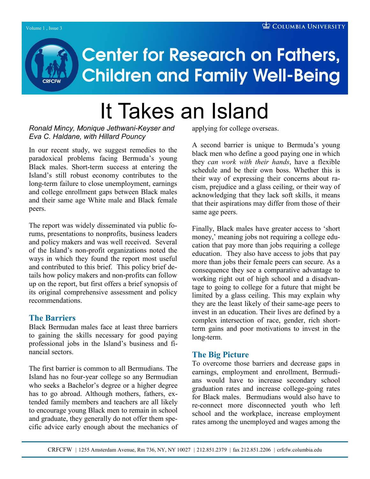# **Center for Research on Fathers, Children and Family Well-Being**

# It Takes an Island

*Ronald Mincy, Monique Jethwani-Keyser and Eva C. Haldane, with Hillard Pouncy*

In our recent study, we suggest remedies to the paradoxical problems facing Bermuda"s young Black males. Short-term success at entering the Island"s still robust economy contributes to the long-term failure to close unemployment, earnings and college enrollment gaps between Black males and their same age White male and Black female peers.

The report was widely disseminated via public forums, presentations to nonprofits, business leaders and policy makers and was well received. Several of the Island"s non-profit organizations noted the ways in which they found the report most useful and contributed to this brief. This policy brief details how policy makers and non-profits can follow up on the report, but first offers a brief synopsis of its original comprehensive assessment and policy recommendations.

# **The Barriers**

Black Bermudan males face at least three barriers to gaining the skills necessary for good paying professional jobs in the Island"s business and financial sectors.

The first barrier is common to all Bermudians. The Island has no four-year college so any Bermudian who seeks a Bachelor's degree or a higher degree has to go abroad. Although mothers, fathers, extended family members and teachers are all likely to encourage young Black men to remain in school and graduate, they generally do not offer them specific advice early enough about the mechanics of applying for college overseas.

A second barrier is unique to Bermuda"s young black men who define a good paying one in which they *can work with their hands*, have a flexible schedule and be their own boss. Whether this is their way of expressing their concerns about racism, prejudice and a glass ceiling, or their way of acknowledging that they lack soft skills, it means that their aspirations may differ from those of their same age peers.

Finally, Black males have greater access to "short money,' meaning jobs not requiring a college education that pay more than jobs requiring a college education. They also have access to jobs that pay more than jobs their female peers can secure. As a consequence they see a comparative advantage to working right out of high school and a disadvantage to going to college for a future that might be limited by a glass ceiling. This may explain why they are the least likely of their same-age peers to invest in an education. Their lives are defined by a complex intersection of race, gender, rich shortterm gains and poor motivations to invest in the long-term.

# **The Big Picture**

To overcome those barriers and decrease gaps in earnings, employment and enrollment, Bermudians would have to increase secondary school graduation rates and increase college-going rates for Black males. Bermudians would also have to re-connect more disconnected youth who left school and the workplace, increase employment rates among the unemployed and wages among the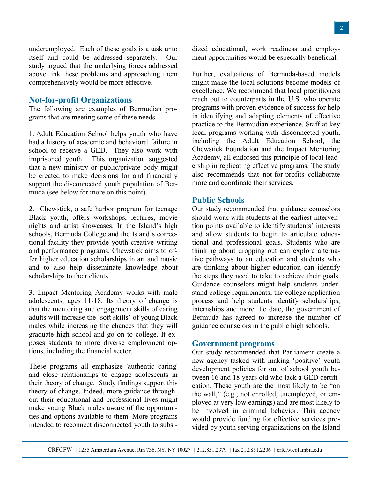underemployed. Each of these goals is a task unto itself and could be addressed separately. Our study argued that the underlying forces addressed above link these problems and approaching them comprehensively would be more effective.

#### **Not-for-profit Organizations**

The following are examples of Bermudian programs that are meeting some of these needs.

1. Adult Education School helps youth who have had a history of academic and behavioral failure in school to receive a GED. They also work with imprisoned youth. This organization suggested that a new ministry or public/private body might be created to make decisions for and financially support the disconnected youth population of Bermuda (see below for more on this point).

2. Chewstick, a safe harbor program for teenage Black youth, offers workshops, lectures, movie nights and artist showcases. In the Island"s high schools, Bermuda College and the Island"s correctional facility they provide youth creative writing and performance programs. Chewstick aims to offer higher education scholarships in art and music and to also help disseminate knowledge about scholarships to their clients.

3. Impact Mentoring Academy works with male adolescents, ages 11-18. Its theory of change is that the mentoring and engagement skills of caring adults will increase the "soft skills" of young Black males while increasing the chances that they will graduate high school and go on to college. It exposes students to more diverse employment options, including the financial sector. $<sup>1</sup>$ </sup>

These programs all emphasize 'authentic caring' and close relationships to engage adolescents in their theory of change. Study findings support this theory of change. Indeed, more guidance throughout their educational and professional lives might make young Black males aware of the opportunities and options available to them. More programs intended to reconnect disconnected youth to subsidized educational, work readiness and employment opportunities would be especially beneficial.

Further, evaluations of Bermuda-based models might make the local solutions become models of excellence. We recommend that local practitioners reach out to counterparts in the U.S. who operate programs with proven evidence of success for help in identifying and adapting elements of effective practice to the Bermudian experience. Staff at key local programs working with disconnected youth, including the Adult Education School, the Chewstick Foundation and the Impact Mentoring Academy, all endorsed this principle of local leadership in replicating effective programs. The study also recommends that not-for-profits collaborate more and coordinate their services.

#### **Public Schools**

Our study recommended that guidance counselors should work with students at the earliest intervention points available to identify students' interests and allow students to begin to articulate educational and professional goals. Students who are thinking about dropping out can explore alternative pathways to an education and students who are thinking about higher education can identify the steps they need to take to achieve their goals. Guidance counselors might help students understand college requirements; the college application process and help students identify scholarships, internships and more. To date, the government of Bermuda has agreed to increase the number of guidance counselors in the public high schools.

#### **Government programs**

Our study recommended that Parliament create a new agency tasked with making "positive" youth development policies for out of school youth between 16 and 18 years old who lack a GED certification. These youth are the most likely to be "on the wall," (e.g., not enrolled, unemployed, or employed at very low earnings) and are most likely to be involved in criminal behavior. This agency would provide funding for effective services provided by youth serving organizations on the Island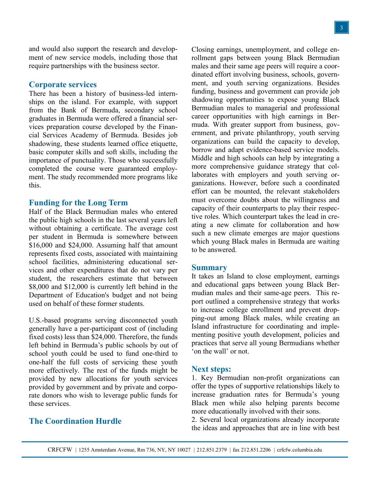and would also support the research and development of new service models, including those that require partnerships with the business sector.

#### **Corporate services**

There has been a history of business-led internships on the island. For example, with support from the Bank of Bermuda, secondary school graduates in Bermuda were offered a financial services preparation course developed by the Financial Services Academy of Bermuda. Besides job shadowing, these students learned office etiquette, basic computer skills and soft skills, including the importance of punctuality. Those who successfully completed the course were guaranteed employment. The study recommended more programs like this.

#### **Funding for the Long Term**

Half of the Black Bermudian males who entered the public high schools in the last several years left without obtaining a certificate. The average cost per student in Bermuda is somewhere between \$16,000 and \$24,000. Assuming half that amount represents fixed costs, associated with maintaining school facilities, administering educational services and other expenditures that do not vary per student, the researchers estimate that between \$8,000 and \$12,000 is currently left behind in the Department of Education's budget and not being used on behalf of these former students.

U.S.-based programs serving disconnected youth generally have a per-participant cost of (including fixed costs) less than \$24,000. Therefore, the funds left behind in Bermuda"s public schools by out of school youth could be used to fund one-third to one-half the full costs of servicing these youth more effectively. The rest of the funds might be provided by new allocations for youth services provided by government and by private and corporate donors who wish to leverage public funds for these services.

### **The Coordination Hurdle**

Closing earnings, unemployment, and college enrollment gaps between young Black Bermudian males and their same age peers will require a coordinated effort involving business, schools, government, and youth serving organizations. Besides funding, business and government can provide job shadowing opportunities to expose young Black Bermudian males to managerial and professional career opportunities with high earnings in Bermuda. With greater support from business, government, and private philanthropy, youth serving organizations can build the capacity to develop, borrow and adapt evidence-based service models. Middle and high schools can help by integrating a more comprehensive guidance strategy that collaborates with employers and youth serving organizations. However, before such a coordinated effort can be mounted, the relevant stakeholders must overcome doubts about the willingness and capacity of their counterparts to play their respective roles. Which counterpart takes the lead in creating a new climate for collaboration and how such a new climate emerges are major questions which young Black males in Bermuda are waiting to be answered.

#### **Summary**

It takes an Island to close employment, earnings and educational gaps between young Black Bermudian males and their same-age peers. This report outlined a comprehensive strategy that works to increase college enrollment and prevent dropping-out among Black males, while creating an Island infrastructure for coordinating and implementing positive youth development, policies and practices that serve all young Bermudians whether "on the wall" or not.

#### **Next steps:**

1. Key Bermudian non-profit organizations can offer the types of supportive relationships likely to increase graduation rates for Bermuda"s young Black men while also helping parents become more educationally involved with their sons.

2. Several local organizations already incorporate the ideas and approaches that are in line with best